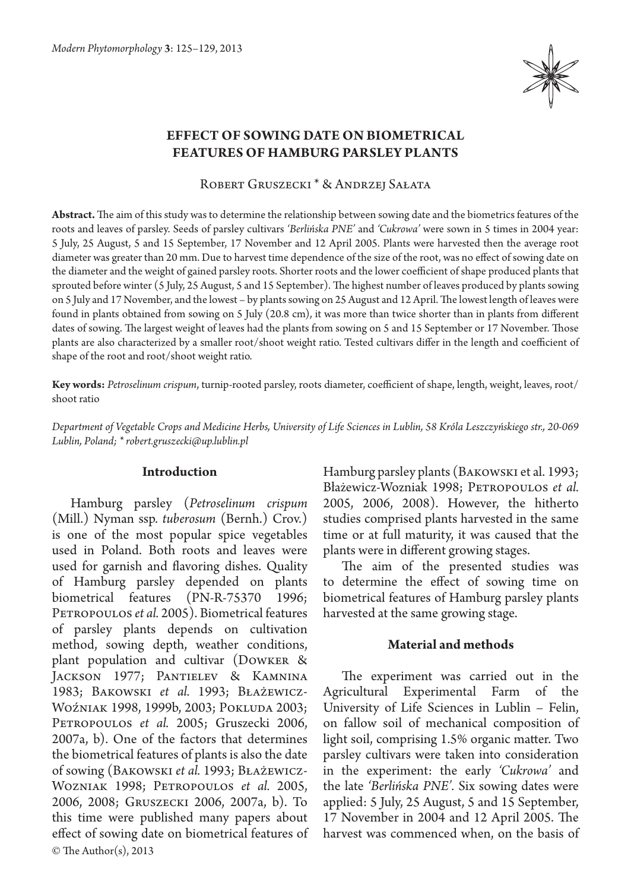

## **Effect of sowing date on biometrical features of Hamburg parsley plants**

Robert Gruszecki \* & Andrzej Sałata

**Abstract.** The aim of this study was to determine the relationship between sowing date and the biometrics features of the roots and leaves of parsley. Seeds of parsley cultivars *'Berlińska PNE'* and *'Cukrowa'* were sown in 5 times in 2004 year: 5 July, 25 August, 5 and 15 September, 17 November and 12 April 2005. Plants were harvested then the average root diameter was greater than 20 mm. Due to harvest time dependence of the size of the root, was no effect of sowing date on the diameter and the weight of gained parsley roots. Shorter roots and the lower coefficient of shape produced plants that sprouted before winter (5 July, 25 August, 5 and 15 September). The highest number of leaves produced by plants sowing on 5 July and 17 November, and the lowest – by plants sowing on 25 August and 12 April. The lowest length of leaves were found in plants obtained from sowing on 5 July (20.8 cm), it was more than twice shorter than in plants from different dates of sowing. The largest weight of leaves had the plants from sowing on 5 and 15 September or 17 November. Those plants are also characterized by a smaller root/shoot weight ratio. Tested cultivars differ in the length and coefficient of shape of the root and root/shoot weight ratio.

**Key words:** *Petroselinum crispum*, turnip-rooted parsley, roots diameter, coefficient of shape, length, weight, leaves, root/ shoot ratio

*Department of Vegetable Crops and Medicine Herbs, University of Life Sciences in Lublin, 58 Króla Leszczyńskiego str., 20-069 Lublin, Poland; \* robert.gruszecki@up.lublin.pl*

#### **Introduction**

© The Author(s), 2013 Hamburg parsley (*Petroselinum crispum*  (Mill.) Nyman ssp. *tuberosum* (Bernh.) Crov.) is one of the most popular spice vegetables used in Poland. Both roots and leaves were used for garnish and flavoring dishes. Quality of Hamburg parsley depended on plants biometrical features (PN-R-75370 1996; PETROPOULOS et al. 2005). Biometrical features of parsley plants depends on cultivation method, sowing depth, weather conditions, plant population and cultivar (Dowker & Jackson 1977; Pantielev & Kamnina 1983; Bakowski *et al.* 1993; Błażewicz-Woźniak 1998, 1999b, 2003; Pokluda 2003; PETROPOULOS et al. 2005; Gruszecki 2006, 2007a, b). One of the factors that determines the biometrical features of plants is also the date of sowing (Bakowski *et al.* 1993; Błażewicz-Wozniak 1998; Petropoulos *et al.* 2005, 2006, 2008; Gruszecki 2006, 2007a, b). To this time were published many papers about effect of sowing date on biometrical features of Hamburg parsley plants (Bakowski et al. 1993; Błażewicz-Wozniak 1998; PETROPOULOS et al. 2005, 2006, 2008). However, the hitherto studies comprised plants harvested in the same time or at full maturity, it was caused that the plants were in different growing stages.

The aim of the presented studies was to determine the effect of sowing time on biometrical features of Hamburg parsley plants harvested at the same growing stage.

### **Material and methods**

The experiment was carried out in the Agricultural Experimental Farm of the University of Life Sciences in Lublin – Felin, on fallow soil of mechanical composition of light soil, comprising 1.5% organic matter. Two parsley cultivars were taken into consideration in the experiment: the early *'Cukrowa'* and the late *'Berlińska PNE'.* Six sowing dates were applied: 5 July, 25 August, 5 and 15 September, 17 November in 2004 and 12 April 2005. The harvest was commenced when, on the basis of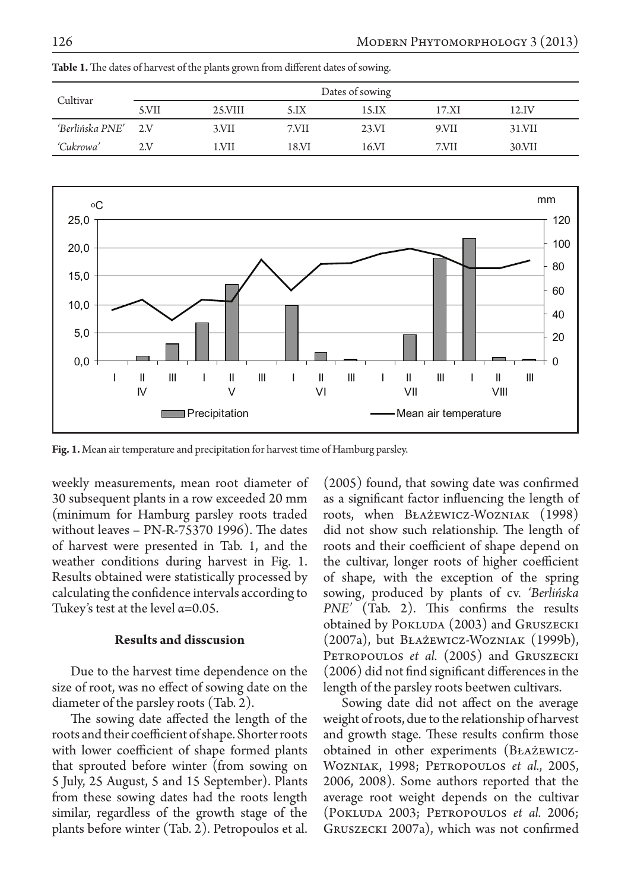| Cultivar            | Dates of sowing |         |       |       |       |        |  |  |
|---------------------|-----------------|---------|-------|-------|-------|--------|--|--|
|                     | 5.VII           | 25.VIII | 5.1X  | 15.IX | 17.XI | 12.IV  |  |  |
| 'Berlińska PNE' 2.V |                 | 3.VII   | 7.VII | 23.VI | 9.VII | 31.VII |  |  |
| 'Cukrowa'           | 2V              | 1.VII   | 18.VI | 16.VI | 7.VII | 30.VII |  |  |

**Table 1.** The dates of harvest of the plants grown from different dates of sowing.



**Fig. 1.** Mean air temperature and precipitation for harvest time of Hamburg parsley.

weekly measurements, mean root diameter of 30 subsequent plants in a row exceeded 20 mm (minimum for Hamburg parsley roots traded without leaves – PN-R-75370 1996). The dates of harvest were presented in Tab. 1, and the weather conditions during harvest in Fig. 1. Results obtained were statistically processed by calculating the confidence intervals according to Tukey's test at the level  $\alpha$ =0.05.

### **Results and disscusion**

Due to the harvest time dependence on the size of root, was no effect of sowing date on the diameter of the parsley roots (Tab. 2).

The sowing date affected the length of the roots and their coefficient of shape. Shorter roots with lower coefficient of shape formed plants that sprouted before winter (from sowing on 5 July, 25 August, 5 and 15 September). Plants from these sowing dates had the roots length similar, regardless of the growth stage of the plants before winter (Tab. 2). Petropoulos et al.

(2005) found, that sowing date was confirmed as a significant factor influencing the length of roots, when Błażewicz-Wozniak (1998) did not show such relationship. The length of roots and their coefficient of shape depend on the cultivar, longer roots of higher coefficient of shape, with the exception of the spring sowing, produced by plants of cv. *'Berlińska PNE'* (Tab. 2). This confirms the results obtained by POKLUDA (2003) and GRUSZECKI (2007a), but Błażewicz-Wozniak (1999b), PETROPOULOS *et al.* (2005) and GRUSZECKI (2006) did not find significant differences in the length of the parsley roots beetwen cultivars.

Sowing date did not affect on the average weight of roots, due to the relationship of harvest and growth stage. These results confirm those obtained in other experiments (Błażewicz-Wozniak, 1998; Petropoulos *et al.*, 2005, 2006, 2008). Some authors reported that the average root weight depends on the cultivar (Pokluda 2003; Petropoulos *et al.* 2006; Gruszecki 2007a), which was not confirmed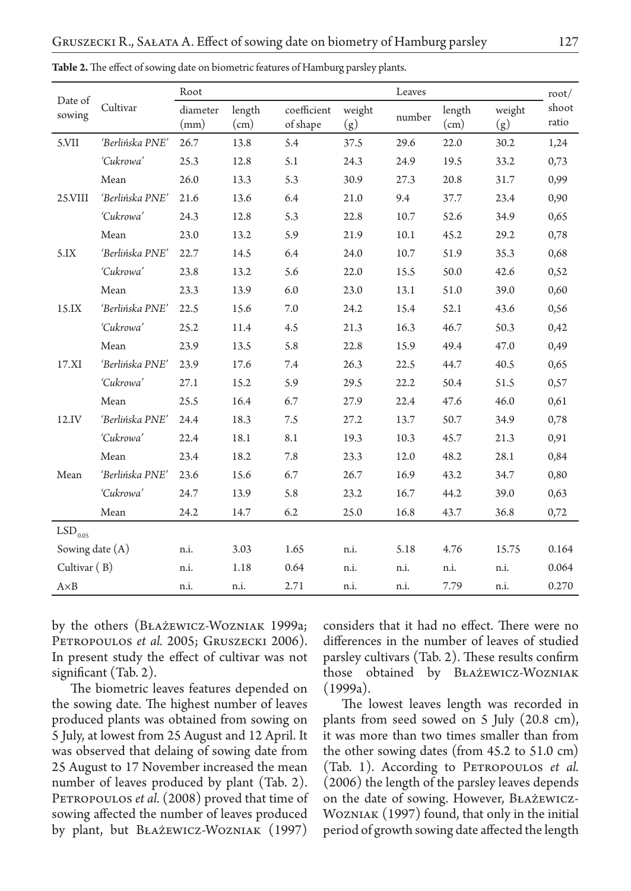| Date of<br>sowing     |                 | Root             |                |                         |               | Leaves |                |               | root/          |
|-----------------------|-----------------|------------------|----------------|-------------------------|---------------|--------|----------------|---------------|----------------|
|                       | Cultivar        | diameter<br>(mm) | length<br>(cm) | coefficient<br>of shape | weight<br>(g) | number | length<br>(cm) | weight<br>(g) | shoot<br>ratio |
| 5.VII                 | 'Berlińska PNE' | 26.7             | 13.8           | 5.4                     | 37.5          | 29.6   | 22.0           | 30.2          | 1,24           |
|                       | 'Cukrowa'       | 25.3             | 12.8           | 5.1                     | 24.3          | 24.9   | 19.5           | 33.2          | 0,73           |
|                       | Mean            | 26.0             | 13.3           | 5.3                     | 30.9          | 27.3   | 20.8           | 31.7          | 0,99           |
| 25.VIII               | 'Berlińska PNE' | 21.6             | 13.6           | 6.4                     | 21.0          | 9.4    | 37.7           | 23.4          | 0,90           |
|                       | 'Cukrowa'       | 24.3             | 12.8           | 5.3                     | 22.8          | 10.7   | 52.6           | 34.9          | 0,65           |
|                       | Mean            | 23.0             | 13.2           | 5.9                     | 21.9          | 10.1   | 45.2           | 29.2          | 0,78           |
| 5.IX                  | 'Berlińska PNE' | 22.7             | 14.5           | 6.4                     | 24.0          | 10.7   | 51.9           | 35.3          | 0,68           |
|                       | 'Cukrowa'       | 23.8             | 13.2           | 5.6                     | 22.0          | 15.5   | 50.0           | 42.6          | 0,52           |
|                       | Mean            | 23.3             | 13.9           | 6.0                     | 23.0          | 13.1   | 51.0           | 39.0          | 0,60           |
| 15.IX                 | 'Berlińska PNE' | 22.5             | 15.6           | 7.0                     | 24.2          | 15.4   | 52.1           | 43.6          | 0,56           |
|                       | 'Cukrowa'       | 25.2             | 11.4           | 4.5                     | 21.3          | 16.3   | 46.7           | 50.3          | 0,42           |
|                       | Mean            | 23.9             | 13.5           | 5.8                     | 22.8          | 15.9   | 49.4           | 47.0          | 0,49           |
| 17.XI                 | 'Berlińska PNE' | 23.9             | 17.6           | 7.4                     | 26.3          | 22.5   | 44.7           | 40.5          | 0,65           |
|                       | 'Cukrowa'       | 27.1             | 15.2           | 5.9                     | 29.5          | 22.2   | 50.4           | 51.5          | 0,57           |
|                       | Mean            | 25.5             | 16.4           | 6.7                     | 27.9          | 22.4   | 47.6           | 46.0          | 0,61           |
| 12.IV                 | 'Berlińska PNE' | 24.4             | 18.3           | 7.5                     | 27.2          | 13.7   | 50.7           | 34.9          | 0,78           |
|                       | 'Cukrowa'       | 22.4             | 18.1           | 8.1                     | 19.3          | 10.3   | 45.7           | 21.3          | 0,91           |
|                       | Mean            | 23.4             | 18.2           | 7.8                     | 23.3          | 12.0   | 48.2           | 28.1          | 0,84           |
| Mean                  | 'Berlińska PNE' | 23.6             | 15.6           | 6.7                     | 26.7          | 16.9   | 43.2           | 34.7          | 0,80           |
|                       | 'Cukrowa'       | 24.7             | 13.9           | 5.8                     | 23.2          | 16.7   | 44.2           | 39.0          | 0,63           |
|                       | ${\it Mean}$    | 24.2             | 14.7           | 6.2                     | 25.0          | 16.8   | 43.7           | 36.8          | 0,72           |
| $LSD$ <sub>0.05</sub> |                 |                  |                |                         |               |        |                |               |                |
| Sowing date (A)       |                 | n.i.             | 3.03           | 1.65                    | n.i.          | 5.18   | 4.76           | 15.75         | 0.164          |
| Cultivar (B)          |                 | n.i.             | 1.18           | 0.64                    | n.i.          | n.i.   | n.i.           | n.i.          | 0.064          |
| $A \times B$          |                 | n.i.             | n.i.           | 2.71                    | n.i.          | n.i.   | 7.79           | n.i.          | 0.270          |

**Table 2.** The effect of sowing date on biometric features of Hamburg parsley plants.

by the others (Błażewicz-Wozniak 1999a; PETROPOULOS *et al.* 2005; GRUSZECKI 2006). In present study the effect of cultivar was not significant (Tab. 2).

The biometric leaves features depended on the sowing date. The highest number of leaves produced plants was obtained from sowing on 5 July, at lowest from 25 August and 12 April. It was observed that delaing of sowing date from 25 August to 17 November increased the mean number of leaves produced by plant (Tab. 2). PETROPOULOS *et al.* (2008) proved that time of sowing affected the number of leaves produced by plant, but Błażewicz-Wozniak (1997)

considers that it had no effect. There were no differences in the number of leaves of studied parsley cultivars (Tab. 2). These results confirm those obtained by Błażewicz-Wozniak (1999a).

The lowest leaves length was recorded in plants from seed sowed on 5 July (20.8 cm), it was more than two times smaller than from the other sowing dates (from 45.2 to 51.0 cm) (Tab. 1). According to PETROPOULOS *et al.* (2006) the length of the parsley leaves depends on the date of sowing. However, Błażewicz-Wozniak (1997) found, that only in the initial period of growth sowing date affected the length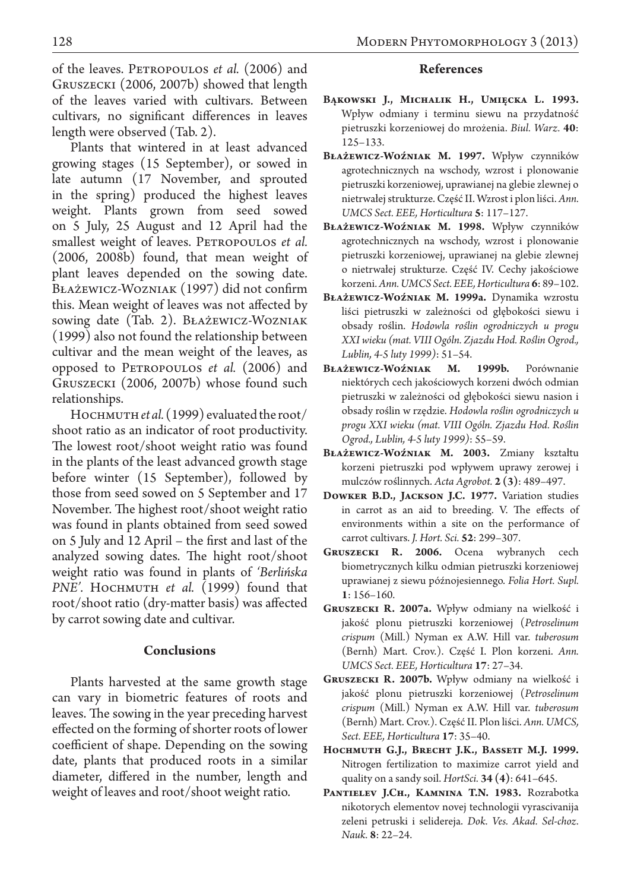of the leaves. Petropoulos *et al.* (2006) and Gruszecki (2006, 2007b) showed that length of the leaves varied with cultivars. Between cultivars, no significant differences in leaves length were observed (Tab. 2).

Plants that wintered in at least advanced growing stages (15 September), or sowed in late autumn (17 November, and sprouted in the spring) produced the highest leaves weight. Plants grown from seed sowed on 5 July, 25 August and 12 April had the smallest weight of leaves. PETROPOULOS et al. (2006, 2008b) found, that mean weight of plant leaves depended on the sowing date. Błażewicz-Wozniak (1997) did not confirm this. Mean weight of leaves was not affected by sowing date (Tab. 2). Błażewicz-Wozniak (1999) also not found the relationship between cultivar and the mean weight of the leaves, as opposed to Petropoulos *et al.* (2006) and Gruszecki (2006, 2007b) whose found such relationships.

HOCHMUTH et al. (1999) evaluated the root/ shoot ratio as an indicator of root productivity. The lowest root/shoot weight ratio was found in the plants of the least advanced growth stage before winter (15 September), followed by those from seed sowed on 5 September and 17 November. The highest root/shoot weight ratio was found in plants obtained from seed sowed on 5 July and 12 April – the first and last of the analyzed sowing dates. The hight root/shoot weight ratio was found in plants of *'Berlińska*  PNE'. HOCHMUTH *et al.* (1999) found that root/shoot ratio (dry-matter basis) was affected by carrot sowing date and cultivar.

## **Conclusions**

Plants harvested at the same growth stage can vary in biometric features of roots and leaves. The sowing in the year preceding harvest effected on the forming of shorter roots of lower coefficient of shape. Depending on the sowing date, plants that produced roots in a similar diameter, differed in the number, length and weight of leaves and root/shoot weight ratio.

# 128 MODERN PHYTOMORPHOLOGY 3 (2013)

### **References**

- **Bąkowski J., Michalik H., Umięcka L. 1993.** Wpływ odmiany i terminu siewu na przydatność pietruszki korzeniowej do mrożenia. *Biul. Warz.* **40**: 125–133.
- **Błażewicz-Woźniak M. 1997.** Wpływ czynników agrotechnicznych na wschody, wzrost i plonowanie pietruszki korzeniowej, uprawianej na glebie zlewnej o nietrwałej strukturze. Część II. Wzrost i plon liści. *Ann. UMCS Sect. EEE, Horticultura* **5**: 117–127.
- **Błażewicz-Woźniak M. 1998.** Wpływ czynników agrotechnicznych na wschody, wzrost i plonowanie pietruszki korzeniowej, uprawianej na glebie zlewnej o nietrwałej strukturze. Część IV. Cechy jakościowe korzeni. *Ann. UMCS Sect. EEE, Horticultura* **6**: 89–102.
- **Błażewicz-Woźniak M. 1999a.** Dynamika wzrostu liści pietruszki w zależności od głębokości siewu i obsady roślin. *Hodowla roślin ogrodniczych u progu XXI wieku (mat. VIII Ogóln. Zjazdu Hod. Roślin Ogrod., Lublin, 4-5 luty 1999)*: 51–54.
- **Błażewicz-Woźniak M. 1999b.** Porównanie niektórych cech jakościowych korzeni dwóch odmian pietruszki w zależności od głębokości siewu nasion i obsady roślin w rzędzie. *Hodowla roślin ogrodniczych u progu XXI wieku (mat. VIII Ogóln. Zjazdu Hod. Roślin Ogrod., Lublin, 4-5 luty 1999)*: 55–59.
- **Błażewicz-Woźniak M. 2003.** Zmiany kształtu korzeni pietruszki pod wpływem uprawy zerowej i mulczów roślinnych. *Acta Agrobot.* **2 (3)**: 489–497.
- **Dowker B.D., Jackson J.C. 1977.** Variation studies in carrot as an aid to breeding. V. The effects of environments within a site on the performance of carrot cultivars. *J. Hort. Sci.* **52**: 299–307.
- **Gruszecki R. 2006.** Ocena wybranych cech biometrycznych kilku odmian pietruszki korzeniowej uprawianej z siewu późnojesiennego. *Folia Hort. Supl.*  **1**: 156–160.
- **Gruszecki R. 2007a.** Wpływ odmiany na wielkość i jakość plonu pietruszki korzeniowej (*Petroselinum crispum* (Mill.) Nyman ex A.W. Hill var. *tuberosum*  (Bernh) Mart. Crov.). Część I. Plon korzeni. *Ann. UMCS Sect. EEE, Horticultura* **17**: 27–34.
- **Gruszecki R. 2007b.** Wpływ odmiany na wielkość i jakość plonu pietruszki korzeniowej (*Petroselinum crispum* (Mill.) Nyman ex A.W. Hill var. *tuberosum*  (Bernh) Mart. Crov.). Część II. Plon liści. *Ann. UMCS, Sect. EEE, Horticultura* **17**: 35–40.
- **Hochmuth G.J., Brecht J.K., Bassett M.J. 1999.**  Nitrogen fertilization to maximize carrot yield and quality on a sandy soil. *HortSci.* **34 (4)**: 641–645.
- **Pantielev J.Ch., Kamnina T.N. 1983.** Rozrabotka nikotorych elementov novej technologii vyrascivanija zeleni petruski i selidereja. *Dok. Ves. Akad. Sel-choz. Nauk.* **8**: 22–24.